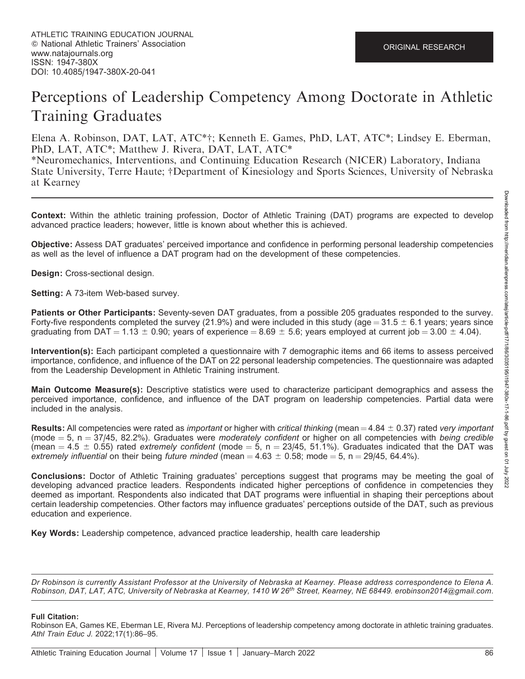# Perceptions of Leadership Competency Among Doctorate in Athletic Training Graduates

Elena A. Robinson, DAT, LAT, ATC\*†; Kenneth E. Games, PhD, LAT, ATC\*; Lindsey E. Eberman, PhD, LAT, ATC\*; Matthew J. Rivera, DAT, LAT, ATC\*

\*Neuromechanics, Interventions, and Continuing Education Research (NICER) Laboratory, Indiana State University, Terre Haute; †Department of Kinesiology and Sports Sciences, University of Nebraska at Kearney

Context: Within the athletic training profession, Doctor of Athletic Training (DAT) programs are expected to develop advanced practice leaders; however, little is known about whether this is achieved.

Objective: Assess DAT graduates' perceived importance and confidence in performing personal leadership competencies as well as the level of influence a DAT program had on the development of these competencies.

Design: Cross-sectional design.

Setting: A 73-item Web-based survey.

Patients or Other Participants: Seventy-seven DAT graduates, from a possible 205 graduates responded to the survey. Forty-five respondents completed the survey (21.9%) and were included in this study (age =  $31.5 \pm 6.1$  years; years since graduating from DAT = 1.13  $\pm$  0.90; years of experience = 8.69  $\pm$  5.6; years employed at current job = 3.00  $\pm$  4.04).

Intervention(s): Each participant completed a questionnaire with 7 demographic items and 66 items to assess perceived importance, confidence, and influence of the DAT on 22 personal leadership competencies. The questionnaire was adapted from the Leadership Development in Athletic Training instrument.

**Main Outcome Measure(s):** Descriptive statistics were used to characterize participant demographics and assess the perceived importance, confidence, and influence of the DAT program on leadership competencies. Partial data were included in the analysis.

**Results:** All competencies were rated as *important* or higher with *critical thinking* (mean  $=$  4.84  $\pm$  0.37) rated very *important* (mode  $= 5$ , n  $= 37/45$ , 82.2%). Graduates were moderately confident or higher on all competencies with being credible (mean  $= 4.5 \pm 0.55$ ) rated extremely confident (mode  $= 5$ , n  $= 23/45$ , 51.1%). Graduates indicated that the DAT was extremely influential on their being future minded (mean =  $4.63 \pm 0.58$ ; mode =  $5$ , n =  $29/45$ , 64.4%).

Conclusions: Doctor of Athletic Training graduates' perceptions suggest that programs may be meeting the goal of developing advanced practice leaders. Respondents indicated higher perceptions of confidence in competencies they deemed as important. Respondents also indicated that DAT programs were influential in shaping their perceptions about certain leadership competencies. Other factors may influence graduates' perceptions outside of the DAT, such as previous education and experience.

Key Words: Leadership competence, advanced practice leadership, health care leadership

Dr Robinson is currently Assistant Professor at the University of Nebraska at Kearney. Please address correspondence to Elena A. Robinson, DAT, LAT, ATC, University of Nebraska at Kearney, 1410 W 26<sup>th</sup> Street, Kearney, NE 68449, erobinson2014@gmail.com.

#### Full Citation:

Robinson EA, Games KE, Eberman LE, Rivera MJ. Perceptions of leadership competency among doctorate in athletic training graduates. Athl Train Educ J. 2022;17(1):86–95.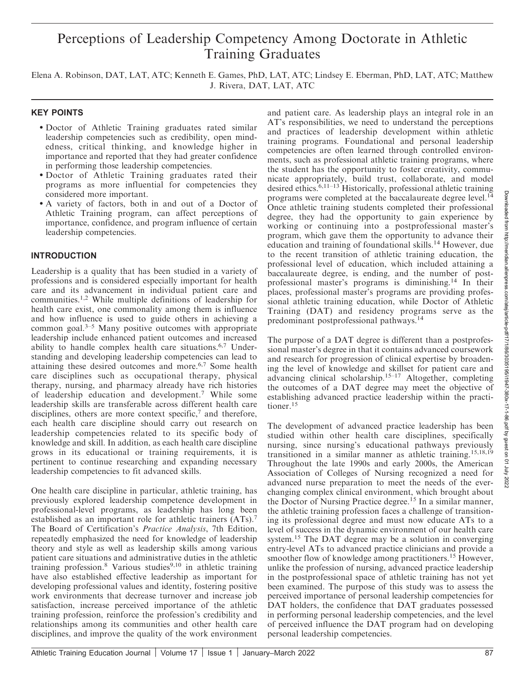# Perceptions of Leadership Competency Among Doctorate in Athletic Training Graduates

Elena A. Robinson, DAT, LAT, ATC; Kenneth E. Games, PhD, LAT, ATC; Lindsey E. Eberman, PhD, LAT, ATC; Matthew J. Rivera, DAT, LAT, ATC

# KEY POINTS

- Doctor of Athletic Training graduates rated similar leadership competencies such as credibility, open mindedness, critical thinking, and knowledge higher in importance and reported that they had greater confidence in performing those leadership competencies.
- Doctor of Athletic Training graduates rated their programs as more influential for competencies they considered more important.
- A variety of factors, both in and out of a Doctor of Athletic Training program, can affect perceptions of importance, confidence, and program influence of certain leadership competencies.

# INTRODUCTION

Leadership is a quality that has been studied in a variety of professions and is considered especially important for health care and its advancement in individual patient care and communities.1,2 While multiple definitions of leadership for health care exist, one commonality among them is influence and how influence is used to guide others in achieving a common goal. $3-5$  Many positive outcomes with appropriate leadership include enhanced patient outcomes and increased ability to handle complex health care situations.6,7 Understanding and developing leadership competencies can lead to attaining these desired outcomes and more.6,7 Some health care disciplines such as occupational therapy, physical therapy, nursing, and pharmacy already have rich histories of leadership education and development.<sup>7</sup> While some leadership skills are transferable across different health care disciplines, others are more context specific, $\alpha$  and therefore, each health care discipline should carry out research on leadership competencies related to its specific body of knowledge and skill. In addition, as each health care discipline grows in its educational or training requirements, it is pertinent to continue researching and expanding necessary leadership competencies to fit advanced skills.

One health care discipline in particular, athletic training, has previously explored leadership competence development in professional-level programs, as leadership has long been established as an important role for athletic trainers (ATs).<sup>7</sup> The Board of Certification's Practice Analysis, 7th Edition, repeatedly emphasized the need for knowledge of leadership theory and style as well as leadership skills among various patient care situations and administrative duties in the athletic training profession.<sup>8</sup> Various studies<sup>9,10</sup> in athletic training have also established effective leadership as important for developing professional values and identity, fostering positive work environments that decrease turnover and increase job satisfaction, increase perceived importance of the athletic training profession, reinforce the profession's credibility and relationships among its communities and other health care disciplines, and improve the quality of the work environment and patient care. As leadership plays an integral role in an AT's responsibilities, we need to understand the perceptions and practices of leadership development within athletic training programs. Foundational and personal leadership competencies are often learned through controlled environments, such as professional athletic training programs, where the student has the opportunity to foster creativity, communicate appropriately, build trust, collaborate, and model desired ethics.6,11–13 Historically, professional athletic training programs were completed at the baccalaureate degree level.<sup>14</sup> Once athletic training students completed their professional degree, they had the opportunity to gain experience by working or continuing into a postprofessional master's program, which gave them the opportunity to advance their education and training of foundational skills.<sup>14</sup> However, due to the recent transition of athletic training education, the professional level of education, which included attaining a baccalaureate degree, is ending, and the number of postprofessional master's programs is diminishing.<sup>14</sup> In their places, professional master's programs are providing professional athletic training education, while Doctor of Athletic Training (DAT) and residency programs serve as the predominant postprofessional pathways.14

The purpose of a DAT degree is different than a postprofessional master's degree in that it contains advanced coursework and research for progression of clinical expertise by broadening the level of knowledge and skillset for patient care and advancing clinical scholarship.<sup>15–17</sup> Altogether, completing the outcomes of a DAT degree may meet the objective of establishing advanced practice leadership within the practitioner.15

The development of advanced practice leadership has been studied within other health care disciplines, specifically nursing, since nursing's educational pathways previously transitioned in a similar manner as athletic training.15,18,19 Throughout the late 1990s and early 2000s, the American Association of Colleges of Nursing recognized a need for advanced nurse preparation to meet the needs of the everchanging complex clinical environment, which brought about the Doctor of Nursing Practice degree.<sup>15</sup> In a similar manner, the athletic training profession faces a challenge of transitioning its professional degree and must now educate ATs to a level of success in the dynamic environment of our health care system.<sup>15</sup> The DAT degree may be a solution in converging entry-level ATs to advanced practice clinicians and provide a smoother flow of knowledge among practitioners.<sup>15</sup> However, unlike the profession of nursing, advanced practice leadership in the postprofessional space of athletic training has not yet been examined. The purpose of this study was to assess the perceived importance of personal leadership competencies for DAT holders, the confidence that DAT graduates possessed in performing personal leadership competencies, and the level of perceived influence the DAT program had on developing personal leadership competencies.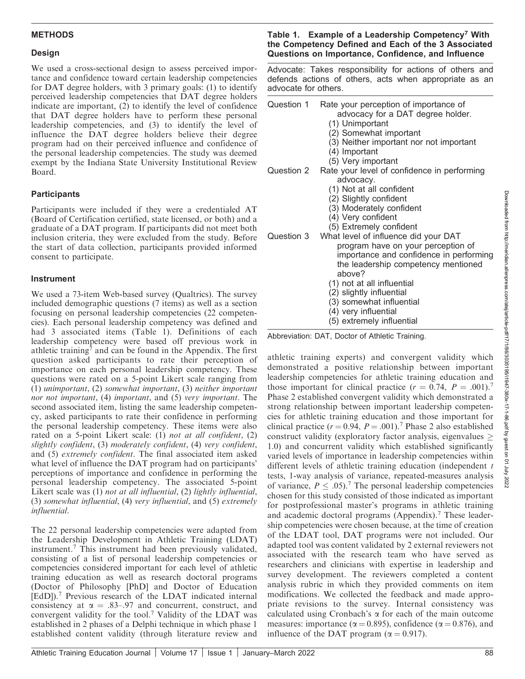# METHODS

#### Design

We used a cross-sectional design to assess perceived importance and confidence toward certain leadership competencies for DAT degree holders, with 3 primary goals: (1) to identify perceived leadership competencies that DAT degree holder indicate are important, (2) to identify the level of confidence that DAT degree holders have to perform these personal leadership competencies, and (3) to identify the level of influence the DAT degree holders believe their degree program had on their perceived influence and confidence of the personal leadership competencies. The study was deemed exempt by the Indiana State University Institutional Review Board.

# **Participants**

Participants were included if they were a credentialed A<sup>T</sup> (Board of Certification certified, state licensed, or both) and graduate of a DAT program. If participants did not meet both inclusion criteria, they were excluded from the study. Before the start of data collection, participants provided informed consent to participate.

# Instrument

We used a 73-item Web-based survey (Qualtrics). The survey included demographic questions (7 items) as well as a section focusing on personal leadership competencies (22 competencies). Each personal leadership competency was defined and had 3 associated items (Table 1). Definitions of each leadership competency were based off previous work in athletic training<sup>7</sup> and can be found in the Appendix. The first question asked participants to rate their perception of importance on each personal leadership competency. These questions were rated on a 5-point Likert scale ranging from (1) unimportant, (2) somewhat important, (3) neither important nor not important, (4) important, and (5) very important. The second associated item, listing the same leadership competency, asked participants to rate their confidence in performing the personal leadership competency. These items were also rated on a 5-point Likert scale: (1) not at all confident, (2) slightly confident, (3) moderately confident, (4) very confident, and (5) extremely confident. The final associated item asked what level of influence the DAT program had on participants' perceptions of importance and confidence in performing the personal leadership competency. The associated 5-point Likert scale was (1) not at all influential, (2) lightly influential, (3) somewhat influential, (4) very influential, and (5) extremely influential.

The 22 personal leadership competencies were adapted from the Leadership Development in Athletic Training (LDAT) instrument.<sup>7</sup> This instrument had been previously validated, consisting of a list of personal leadership competencies or competencies considered important for each level of athletic training education as well as research doctoral programs (Doctor of Philosophy [PhD] and Doctor of Education [EdD]).<sup>7</sup> Previous research of the LDAT indicated internal consistency at  $\alpha = .83-.97$  and concurrent, construct, and convergent validity for the tool.<sup>7</sup> Validity of the LDAT was established in 2 phases of a Delphi technique in which phase 1 established content validity (through literature review and

#### Table 1. Example of a Leadership Competency<sup>7</sup> With the Competency Defined and Each of the 3 Associated Questions on Importance, Confidence, and Influence

Advocate: Takes responsibility for actions of others and defends actions of others, acts when appropriate as an advocate for others.

| Question 1 | Rate your perception of importance of<br>advocacy for a DAT degree holder.<br>(1) Unimportant<br>(2) Somewhat important<br>(3) Neither important nor not important<br>(4) Important<br>(5) Very important       |
|------------|-----------------------------------------------------------------------------------------------------------------------------------------------------------------------------------------------------------------|
| Question 2 | Rate your level of confidence in performing<br>advocacy.                                                                                                                                                        |
|            | (1) Not at all confident                                                                                                                                                                                        |
|            | (2) Slightly confident                                                                                                                                                                                          |
|            | (3) Moderately confident                                                                                                                                                                                        |
|            | (4) Very confident                                                                                                                                                                                              |
|            | (5) Extremely confident                                                                                                                                                                                         |
|            | Question 3 What level of influence did your DAT<br>program have on your perception of<br>importance and confidence in performing<br>the leadership competency mentioned<br>above?<br>(1) not at all influential |
|            | (2) slightly influential                                                                                                                                                                                        |
|            | (3) somewhat influential                                                                                                                                                                                        |
|            | (4) very influential                                                                                                                                                                                            |
|            | (5) extremely influential                                                                                                                                                                                       |

Abbreviation: DAT, Doctor of Athletic Training.

athletic training experts) and convergent validity which demonstrated a positive relationship between important leadership competencies for athletic training education and those important for clinical practice  $(r = 0.74, P = .001).$ <sup>7</sup> Phase 2 established convergent validity which demonstrated a strong relationship between important leadership competencies for athletic training education and those important for clinical practice ( $r = 0.94$ ,  $P = .001$ ).<sup>7</sup> Phase 2 also established construct validity (exploratory factor analysis, eigenvalues 1.0) and concurrent validity which established significantly varied levels of importance in leadership competencies within different levels of athletic training education (independent  $t$ tests, 1-way analysis of variance, repeated-measures analysis of variance,  $P \leq .05$ .<sup>7</sup> The personal leadership competencies chosen for this study consisted of those indicated as important for postprofessional master's programs in athletic training and academic doctoral programs (Appendix).<sup>7</sup> These leadership competencies were chosen because, at the time of creation of the LDAT tool, DAT programs were not included. Our adapted tool was content validated by 2 external reviewers not associated with the research team who have served as researchers and clinicians with expertise in leadership and survey development. The reviewers completed a content analysis rubric in which they provided comments on item modifications. We collected the feedback and made appropriate revisions to the survey. Internal consistency was calculated using Cronbach's  $\alpha$  for each of the main outcome measures: importance ( $\alpha$  = 0.895), confidence ( $\alpha$  = 0.876), and influence of the DAT program ( $\alpha = 0.917$ ).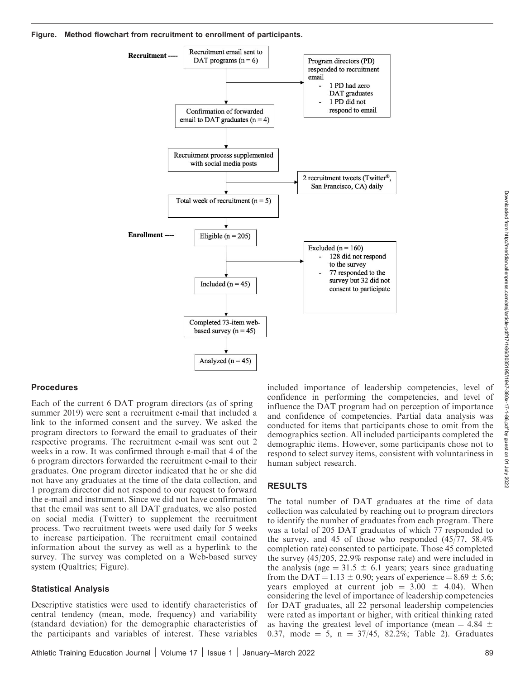

#### **Procedures**

Each of the current 6 DAT program directors (as of spring– summer 2019) were sent a recruitment e-mail that included a link to the informed consent and the survey. We asked the program directors to forward the email to graduates of their respective programs. The recruitment e-mail was sent out 2 weeks in a row. It was confirmed through e-mail that 4 of the 6 program directors forwarded the recruitment e-mail to their graduates. One program director indicated that he or she did not have any graduates at the time of the data collection, and 1 program director did not respond to our request to forward the e-mail and instrument. Since we did not have confirmation that the email was sent to all DAT graduates, we also posted on social media (Twitter) to supplement the recruitment process. Two recruitment tweets were used daily for 5 weeks to increase participation. The recruitment email contained information about the survey as well as a hyperlink to the survey. The survey was completed on a Web-based survey system (Qualtrics; Figure).

#### Statistical Analysis

Descriptive statistics were used to identify characteristics of central tendency (mean, mode, frequency) and variability (standard deviation) for the demographic characteristics of the participants and variables of interest. These variables

included importance of leadership competencies, level of confidence in performing the competencies, and level of influence the DAT program had on perception of importance and confidence of competencies. Partial data analysis was conducted for items that participants chose to omit from the demographics section. All included participants completed the demographic items. However, some participants chose not to respond to select survey items, consistent with voluntariness in human subject research.

#### RESULTS

The total number of DAT graduates at the time of data collection was calculated by reaching out to program directors to identify the number of graduates from each program. There was a total of 205 DAT graduates of which 77 responded to the survey, and 45 of those who responded (45/77, 58.4% completion rate) consented to participate. Those 45 completed the survey (45/205, 22.9% response rate) and were included in the analysis (age  $= 31.5 \pm 6.1$  years; years since graduating from the DAT = 1.13  $\pm$  0.90; years of experience = 8.69  $\pm$  5.6; years employed at current job =  $3.00 \pm 4.04$ ). When considering the level of importance of leadership competencies for DAT graduates, all 22 personal leadership competencies were rated as important or higher, with critical thinking rated as having the greatest level of importance (mean  $= 4.84 \pm 1.84$ 0.37, mode  $= 5$ , n  $= 37/45$ , 82.2%; Table 2). Graduates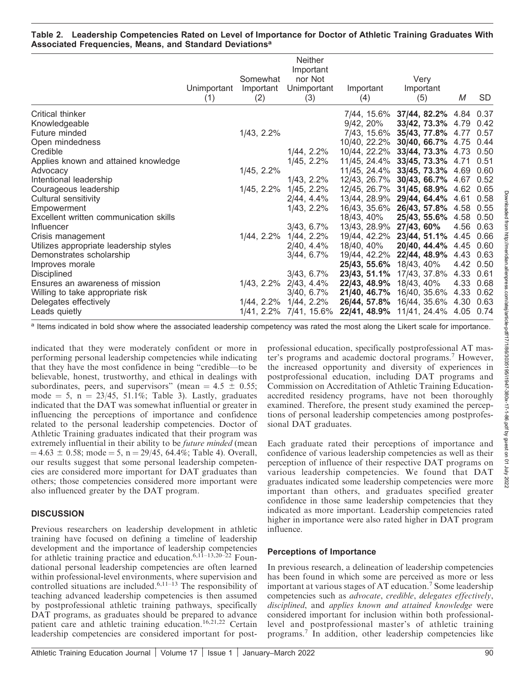#### Table 2. Leadership Competencies Rated on Level of Importance for Doctor of Athletic Training Graduates With Associated Frequencies, Means, and Standard Deviations<sup>a</sup>

|                                        | Unimportant<br>(1) | Somewhat<br>Important<br>(2) | <b>Neither</b><br>Important<br>nor Not<br>Unimportant<br>(3) | Important<br>(4) | Very<br>Important<br>(5)            | М         | <b>SD</b> |
|----------------------------------------|--------------------|------------------------------|--------------------------------------------------------------|------------------|-------------------------------------|-----------|-----------|
| Critical thinker                       |                    |                              |                                                              | 7/44, 15.6%      | 37/44, 82.2% 4.84 0.37              |           |           |
| Knowledgeable                          |                    |                              |                                                              | $9/42, 20\%$     | 33/42, 73.3% 4.79 0.42              |           |           |
| Future minded                          |                    | 1/43, 2.2%                   |                                                              | 7/43, 15.6%      | 35/43, 77.8% 4.77 0.57              |           |           |
| Open mindedness                        |                    |                              |                                                              |                  | 10/40, 22.2% 30/40, 66.7% 4.75 0.44 |           |           |
| Credible                               |                    |                              | 1/44, 2.2%                                                   | 10/44, 22.2%     | 33/44, 73.3% 4.73 0.50              |           |           |
| Applies known and attained knowledge   |                    |                              | 1/45, 2.2%                                                   | 11/45, 24.4%     | 33/45, 73.3% 4.71 0.51              |           |           |
| Advocacy                               |                    | 1/45, 2.2%                   |                                                              | 11/45, 24.4%     | 33/45, 73.3% 4.69 0.60              |           |           |
| Intentional leadership                 |                    |                              | 1/43, 2.2%                                                   | 12/43, 26.7%     | 30/43, 66.7% 4.67 0.52              |           |           |
| Courageous leadership                  |                    | 1/45, 2.2%                   | 1/45, 2.2%                                                   | 12/45, 26.7%     | 31/45, 68.9% 4.62 0.65              |           |           |
| Cultural sensitivity                   |                    |                              | 2/44, 4.4%                                                   |                  | 13/44, 28.9% 29/44, 64.4% 4.61 0.58 |           |           |
| Empowerment                            |                    |                              | 1/43, 2.2%                                                   |                  | 16/43, 35.6% 26/43, 57.8% 4.58 0.55 |           |           |
| Excellent written communication skills |                    |                              |                                                              | 18/43, 40%       | 25/43, 55.6% 4.58 0.50              |           |           |
| Influencer                             |                    |                              | 3/43, 6.7%                                                   | 13/43, 28.9%     | 27/43, 60%                          |           | 4.56 0.63 |
| Crisis management                      |                    | 1/44, 2.2%                   | 1/44, 2.2%                                                   |                  | 19/44, 42.2% 23/44, 51.1%           | 4.45 0.66 |           |
| Utilizes appropriate leadership styles |                    |                              | 2/40, 4.4%                                                   | 18/40, 40%       | 20/40, 44.4% 4.45 0.60              |           |           |
| Demonstrates scholarship               |                    |                              | 3/44, 6.7%                                                   | 19/44, 42.2%     | 22/44, 48.9%                        |           | 4.43 0.63 |
| Improves morale                        |                    |                              |                                                              | 25/43, 55.6%     | 18/43, 40%                          |           | 4.42 0.50 |
| <b>Disciplined</b>                     |                    |                              | 3/43, 6.7%                                                   | 23/43, 51.1%     | 17/43, 37.8%                        | 4.33 0.61 |           |
| Ensures an awareness of mission        |                    | 1/43, 2.2%                   | 2/43, 4.4%                                                   | 22/43, 48.9%     | 18/43, 40%                          |           | 4.33 0.68 |
| Willing to take appropriate risk       |                    |                              | $3/40, 6.7\%$                                                | 21/40, 46.7%     | 16/40, 35.6%                        | 4.33 0.62 |           |
| Delegates effectively                  |                    |                              | 1/44, 2.2% 1/44, 2.2%                                        | 26/44, 57.8%     | 16/44, 35.6% 4.30 0.63              |           |           |
| Leads quietly                          |                    |                              | 1/41, 2.2% 7/41, 15.6%                                       |                  | 22/41, 48.9% 11/41, 24.4% 4.05 0.74 |           |           |

a Items indicated in bold show where the associated leadership competency was rated the most along the Likert scale for importance.

indicated that they were moderately confident or more in performing personal leadership competencies while indicating that they have the most confidence in being ''credible—to be believable, honest, trustworthy, and ethical in dealings with subordinates, peers, and supervisors" (mean =  $4.5 \pm 0.55$ ; mode  $= 5$ , n  $= 23/45$ , 51.1%; Table 3). Lastly, graduates indicated that the DAT was somewhat influential or greater in influencing the perceptions of importance and confidence related to the personal leadership competencies. Doctor of Athletic Training graduates indicated that their program was extremely influential in their ability to be *future minded* (mean  $= 4.63 \pm 0.58$ ; mode  $= 5$ , n  $= 29/45$ , 64.4%; Table 4). Overall, our results suggest that some personal leadership competencies are considered more important for DAT graduates than others; those competencies considered more important were also influenced greater by the DAT program.

# **DISCUSSION**

Previous researchers on leadership development in athletic training have focused on defining a timeline of leadership development and the importance of leadership competencies for athletic training practice and education.<sup>6,11–13,20–22</sup> Foundational personal leadership competencies are often learned within professional-level environments, where supervision and controlled situations are included.<sup>6,11–13</sup> The responsibility of teaching advanced leadership competencies is then assumed by postprofessional athletic training pathways, specifically DAT programs, as graduates should be prepared to advance patient care and athletic training education.<sup>16,21,22</sup> Certain leadership competencies are considered important for postprofessional education, specifically postprofessional AT master's programs and academic doctoral programs.<sup>7</sup> However, the increased opportunity and diversity of experiences in postprofessional education, including DAT programs and Commission on Accreditation of Athletic Training Educationaccredited residency programs, have not been thoroughly examined. Therefore, the present study examined the perceptions of personal leadership competencies among postprofessional DAT graduates.

Each graduate rated their perceptions of importance and confidence of various leadership competencies as well as their perception of influence of their respective DAT programs on various leadership competencies. We found that DAT graduates indicated some leadership competencies were more important than others, and graduates specified greater confidence in those same leadership competencies that they indicated as more important. Leadership competencies rated higher in importance were also rated higher in DAT program influence.

# Perceptions of Importance

In previous research, a delineation of leadership competencies has been found in which some are perceived as more or less important at various stages of AT education.<sup>7</sup> Some leadership competencies such as advocate, credible, delegates effectively, disciplined, and applies known and attained knowledge were considered important for inclusion within both professionallevel and postprofessional master's of athletic training programs.<sup>7</sup> In addition, other leadership competencies like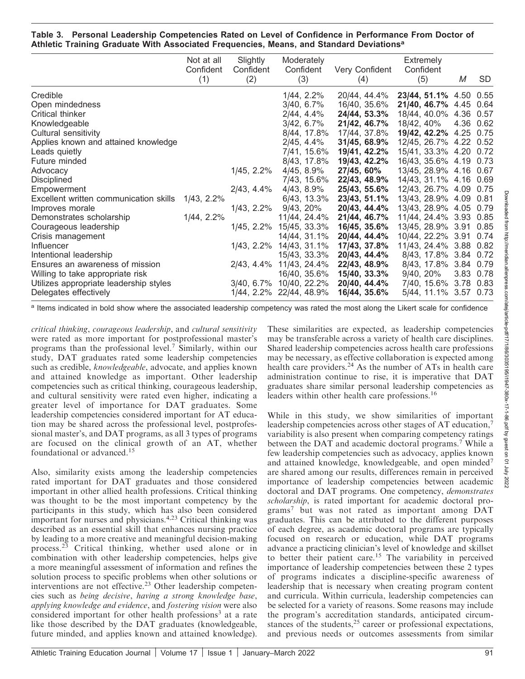#### Table 3. Personal Leadership Competencies Rated on Level of Confidence in Performance From Doctor of Athletic Training Graduate With Associated Frequencies, Means, and Standard Deviations<sup>a</sup>

|                                        | Not at all<br>Confident<br>(1) | Slightly<br>Confident<br>(2) | Moderately<br>Confident<br>(3) | Very Confident<br>(4) | Extremely<br>Confident<br>(5) | Μ         | <b>SD</b> |
|----------------------------------------|--------------------------------|------------------------------|--------------------------------|-----------------------|-------------------------------|-----------|-----------|
|                                        |                                |                              |                                |                       |                               |           |           |
| Credible                               |                                |                              | 1/44, 2.2%                     | 20/44, 44.4%          | 23/44, 51.1% 4.50 0.55        |           |           |
| Open mindedness                        |                                |                              | $3/40, 6.7\%$                  | 16/40, 35.6%          | 21/40, 46.7% 4.45 0.64        |           |           |
| Critical thinker                       |                                |                              | 2/44, 4.4%                     | 24/44, 53.3%          | 18/44, 40.0%                  | 4.36 0.57 |           |
| Knowledgeable                          |                                |                              | 3/42, 6.7%                     | 21/42, 46.7%          | 18/42, 40%                    | 4.36 0.62 |           |
| Cultural sensitivity                   |                                |                              | 8/44, 17.8%                    | 17/44, 37.8%          | 19/42, 42.2% 4.25 0.75        |           |           |
| Applies known and attained knowledge   |                                |                              | 2/45, 4.4%                     | 31/45, 68.9%          | 12/45, 26.7% 4.22 0.52        |           |           |
| Leads quietly                          |                                |                              | 7/41, 15.6%                    | 19/41, 42.2%          | 15/41, 33.3% 4.20 0.72        |           |           |
| Future minded                          |                                |                              | 8/43, 17.8%                    | 19/43, 42.2%          | 16/43, 35.6% 4.19 0.73        |           |           |
| Advocacy                               |                                | 1/45, 2.2%                   | 4/45, 8.9%                     | 27/45, 60%            | 13/45, 28.9% 4.16 0.67        |           |           |
| Disciplined                            |                                |                              | 7/43, 15.6%                    | 22/43, 48.9%          | 14/43, 31.1% 4.16 0.69        |           |           |
| Empowerment                            |                                | 2/43, 4.4%                   | 4/43, 8.9%                     | 25/43, 55.6%          | 12/43, 26.7% 4.09 0.75        |           |           |
| Excellent written communication skills | 1/43, 2.2%                     |                              | 6/43, 13.3%                    | 23/43, 51.1%          | 13/43, 28.9% 4.09 0.81        |           |           |
| Improves morale                        |                                | 1/43, 2.2%                   | 9/43, 20%                      | 20/43, 44.4%          | 13/43, 28.9% 4.05             |           | 0.79      |
| Demonstrates scholarship               | 1/44, 2.2%                     |                              | 11/44, 24.4%                   | 21/44, 46.7%          | 11/44, 24.4% 3.93 0.85        |           |           |
| Courageous leadership                  |                                | 1/45, 2.2%                   | 15/45, 33.3%                   | 16/45, 35.6%          | 13/45, 28.9% 3.91 0.85        |           |           |
| Crisis management                      |                                |                              | 14/44, 31.1%                   | 20/44, 44.4%          | 10/44, 22.2% 3.91 0.74        |           |           |
| Influencer                             |                                | 1/43, 2.2%                   | 14/43, 31.1%                   | 17/43, 37.8%          | 11/43, 24.4% 3.88 0.82        |           |           |
| Intentional leadership                 |                                |                              | 15/43, 33.3%                   | 20/43, 44.4%          | 8/43, 17.8% 3.84 0.72         |           |           |
| Ensures an awareness of mission        |                                | 2/43, 4.4%                   | 11/43, 24.4%                   | 22/43, 48.9%          | 8/43, 17.8% 3.84 0.79         |           |           |
| Willing to take appropriate risk       |                                |                              | 16/40, 35.6%                   | 15/40, 33.3%          | 9/40, 20%                     | 3.83 0.78 |           |
| Utilizes appropriate leadership styles |                                | $3/40, 6.7\%$                | 10/40, 22.2%                   | 20/40, 44.4%          | 7/40, 15.6% 3.78 0.83         |           |           |
| Delegates effectively                  |                                | 1/44, 2.2%                   | 22/44, 48.9%                   | 16/44, 35.6%          | 5/44, 11.1% 3.57 0.73         |           |           |

a Items indicated in bold show where the associated leadership competency was rated the most along the Likert scale for confidence

critical thinking, courageous leadership, and cultural sensitivity were rated as more important for postprofessional master's programs than the professional level.<sup>7</sup> Similarly, within our study, DAT graduates rated some leadership competencies such as credible, knowledgeable, advocate, and applies known and attained knowledge as important. Other leadership competencies such as critical thinking, courageous leadership, and cultural sensitivity were rated even higher, indicating a greater level of importance for DAT graduates. Some leadership competencies considered important for AT education may be shared across the professional level, postprofessional master's, and DAT programs, as all 3 types of programs are focused on the clinical growth of an AT, whether foundational or advanced.<sup>15</sup>

Also, similarity exists among the leadership competencies rated important for DAT graduates and those considered important in other allied health professions. Critical thinking was thought to be the most important competency by the participants in this study, which has also been considered important for nurses and physicians.<sup>4,23</sup> Critical thinking was described as an essential skill that enhances nursing practice by leading to a more creative and meaningful decision-making process.<sup>23</sup> Critical thinking, whether used alone or in combination with other leadership competencies, helps give a more meaningful assessment of information and refines the solution process to specific problems when other solutions or interventions are not effective.<sup>23</sup> Other leadership competencies such as being decisive, having a strong knowledge base, applying knowledge and evidence, and fostering vision were also considered important for other health professions<sup>3</sup> at a rate like those described by the DAT graduates (knowledgeable, future minded, and applies known and attained knowledge).

These similarities are expected, as leadership competencies may be transferable across a variety of health care disciplines. Shared leadership competencies across health care professions may be necessary, as effective collaboration is expected among health care providers.<sup>24</sup> As the number of ATs in health care administration continue to rise, it is imperative that DAT graduates share similar personal leadership competencies as leaders within other health care professions.<sup>16</sup>

While in this study, we show similarities of important leadership competencies across other stages of AT education,<sup>7</sup> variability is also present when comparing competency ratings between the DAT and academic doctoral programs.<sup>7</sup> While a few leadership competencies such as advocacy, applies known and attained knowledge, knowledgeable, and open minded<sup>7</sup> are shared among our results, differences remain in perceived importance of leadership competencies between academic doctoral and DAT programs. One competency, demonstrates scholarship, is rated important for academic doctoral programs<sup>7</sup> but was not rated as important among DAT graduates. This can be attributed to the different purposes of each degree, as academic doctoral programs are typically focused on research or education, while DAT programs advance a practicing clinician's level of knowledge and skillset to better their patient care.<sup>15</sup> The variability in perceived importance of leadership competencies between these 2 types of programs indicates a discipline-specific awareness of leadership that is necessary when creating program content and curricula. Within curricula, leadership competencies can be selected for a variety of reasons. Some reasons may include the program's accreditation standards, anticipated circumstances of the students,<sup>25</sup> career or professional expectations, and previous needs or outcomes assessments from similar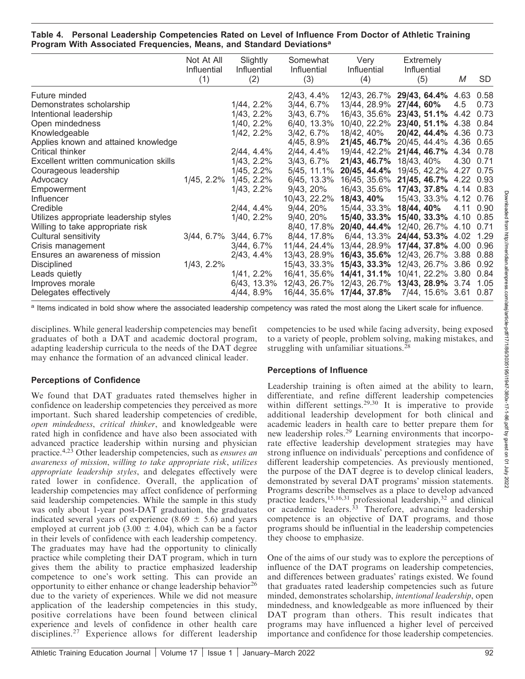| Table 4. Personal Leadership Competencies Rated on Level of Influence From Doctor of Athletic Training |  |  |  |  |
|--------------------------------------------------------------------------------------------------------|--|--|--|--|
| Program With Associated Frequencies, Means, and Standard Deviations <sup>a</sup>                       |  |  |  |  |

|                                        | Not At All<br>Influential | Slightly<br>Influential | Somewhat<br>Influential | Very<br>Influential                         | <b>Extremely</b><br><b>Influential</b> |           |      |
|----------------------------------------|---------------------------|-------------------------|-------------------------|---------------------------------------------|----------------------------------------|-----------|------|
|                                        | (1)                       | (2)                     | (3)                     | (4)                                         | (5)                                    | М         | SD   |
| Future minded                          |                           |                         | 2/43, 4.4%              |                                             | 12/43, 26.7% 29/43, 64.4% 4.63 0.58    |           |      |
| Demonstrates scholarship               |                           | 1/44, 2.2%              | 3/44, 6.7%              | 13/44, 28.9%                                | 27/44, 60%                             | 4.5       | 0.73 |
| Intentional leadership                 |                           | 1/43, 2.2%              | $3/43, 6.7\%$           |                                             | 16/43, 35.6% 23/43, 51.1% 4.42         |           | 0.73 |
| Open mindedness                        |                           | 1/40, 2.2%              | 6/40, 13.3%             |                                             | 10/40, 22.2% 23/40, 51.1%              | 4.38 0.84 |      |
| Knowledgeable                          |                           | 1/42, 2.2%              | 3/42, 6.7%              | 18/42, 40%                                  | 20/42, 44.4%                           | 4.36      | 0.73 |
| Applies known and attained knowledge   |                           |                         | 4/45, 8.9%              |                                             | 21/45, 46.7% 20/45, 44.4% 4.36 0.65    |           |      |
| Critical thinker                       |                           | 2/44, 4.4%              | 2/44, 4.4%              |                                             | 19/44, 42.2% 21/44, 46.7% 4.34 0.78    |           |      |
| Excellent written communication skills |                           | 1/43, 2.2%              | $3/43, 6.7\%$           | 21/43, 46.7%                                | 18/43, 40%                             | 4.30 0.71 |      |
| Courageous leadership                  |                           | 1/45, 2.2%              | 5/45, 11.1%             | 20/45, 44.4%                                | 19/45, 42.2%                           | 4.27 0.75 |      |
| Advocacy                               | 1/45, 2.2%                | 1/45, 2.2%              | 6/45, 13.3%             | 16/45, 35.6%                                | 21/45, 46.7%                           | 4.22 0.93 |      |
| Empowerment                            |                           | 1/43, 2.2%              | 9/43, 20%               |                                             | 16/43, 35.6% 17/43, 37.8% 4.14 0.83    |           |      |
| <b>Influencer</b>                      |                           |                         | 10/43, 22.2%            | 18/43, 40%                                  | 15/43, 33.3%                           | 4.12 0.76 |      |
| Credible                               |                           | 2/44, 4.4%              | 9/44, 20%               | 15/44, 33.3% 18/44, 40%                     |                                        | 4.11 0.90 |      |
| Utilizes appropriate leadership styles |                           | 1/40, 2.2%              | 9/40, 20%               |                                             | 15/40, 33.3% 15/40, 33.3%              | 4.10 0.85 |      |
| Willing to take appropriate risk       |                           |                         | 8/40, 17.8%             | 20/40, 44.4%                                | 12/40, 26.7%                           | 4.10 0.71 |      |
| Cultural sensitivity                   | 3/44, 6.7%                | 3/44, 6.7%              | 8/44, 17.8%             | 6/44, 13.3%                                 | 24/44, 53.3% 4.02                      |           | 1.29 |
| Crisis management                      |                           | 3/44, 6.7%              | 11/44, 24.4%            | 13/44, 28.9%                                | 17/44, 37.8% 4.00                      |           | 0.96 |
| Ensures an awareness of mission        |                           | 2/43, 4.4%              | 13/43, 28.9%            | 16/43, 35.6%                                | 12/43, 26.7% 3.88                      |           | 0.88 |
| <b>Disciplined</b>                     | 1/43, 2.2%                |                         | 15/43, 33.3%            |                                             | 15/43, 33.3% 12/43, 26.7% 3.86         |           | 0.92 |
| Leads quietly                          |                           | 1/41, 2.2%              |                         | 16/41, 35.6% 14/41, 31.1% 10/41, 22.2% 3.80 |                                        |           | 0.84 |
| Improves morale                        |                           | 6/43, 13.3%             |                         | 12/43, 26.7% 12/43, 26.7% 13/43, 28.9% 3.74 |                                        |           | 1.05 |
| Delegates effectively                  |                           | 4/44, 8.9%              |                         | 16/44, 35.6% 17/44, 37.8%                   | 7/44, 15.6% 3.61                       |           | 0.87 |

<sup>a</sup> Items indicated in bold show where the associated leadership competency was rated the most along the Likert scale for influence.

disciplines. While general leadership competencies may benefit graduates of both a DAT and academic doctoral program, adapting leadership curricula to the needs of the DAT degree may enhance the formation of an advanced clinical leader.

### competencies to be used while facing adversity, being exposed to a variety of people, problem solving, making mistakes, and struggling with unfamiliar situations.<sup>2</sup>

# Perceptions of Confidence

We found that DAT graduates rated themselves higher in confidence on leadership competencies they perceived as more important. Such shared leadership competencies of credible, open mindedness, critical thinker, and knowledgeable were rated high in confidence and have also been associated with advanced practice leadership within nursing and physician practice.<sup>4,23</sup> Other leadership competencies, such as *ensures an* awareness of mission, willing to take appropriate risk, utilizes appropriate leadership styles, and delegates effectively were rated lower in confidence. Overall, the application of leadership competencies may affect confidence of performing said leadership competencies. While the sample in this study was only about 1-year post-DAT graduation, the graduates indicated several years of experience (8.69  $\pm$  5.6) and years employed at current job (3.00  $\pm$  4.04), which can be a factor in their levels of confidence with each leadership competency. The graduates may have had the opportunity to clinically practice while completing their DAT program, which in turn gives them the ability to practice emphasized leadership competence to one's work setting. This can provide an opportunity to either enhance or change leadership behavior<sup>26</sup> due to the variety of experiences. While we did not measure application of the leadership competencies in this study, positive correlations have been found between clinical experience and levels of confidence in other health care disciplines.<sup>27</sup> Experience allows for different leadership

# Perceptions of Influence

Leadership training is often aimed at the ability to learn, differentiate, and refine different leadership competencies within different settings.<sup>29,30</sup> It is imperative to provide additional leadership development for both clinical and academic leaders in health care to better prepare them for new leadership roles.<sup>29</sup> Learning environments that incorporate effective leadership development strategies may have strong influence on individuals' perceptions and confidence of different leadership competencies. As previously mentioned, the purpose of the DAT degree is to develop clinical leaders, demonstrated by several DAT programs' mission statements. Programs describe themselves as a place to develop advanced practice leaders,<sup>15,16,31</sup> professional leadership,<sup>32</sup> and clinical or academic leaders.<sup>33</sup> Therefore, advancing leadership competence is an objective of DAT programs, and those programs should be influential in the leadership competencies they choose to emphasize.

One of the aims of our study was to explore the perceptions of influence of the DAT programs on leadership competencies, and differences between graduates' ratings existed. We found that graduates rated leadership competencies such as future minded, demonstrates scholarship, intentional leadership, open mindedness, and knowledgeable as more influenced by their DAT program than others. This result indicates that programs may have influenced a higher level of perceived importance and confidence for those leadership competencies.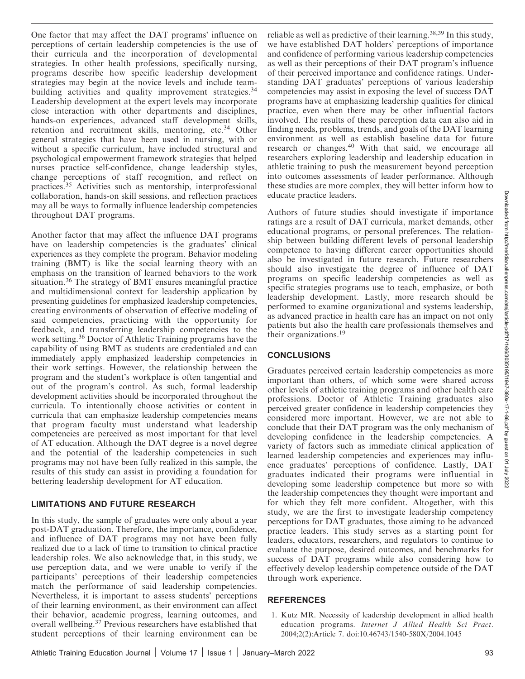Downloaded from http://meridian.allenpress.com/ate/jarticle-pdf/17/1/86/3035195/11947-380x-17-1-86.pdf by guest on 01 July Downloaded from http://meridian.allenpress.com/atej/article-pdf/17/1/86/3035195/i1947-380x-17-1-86.pdf by guest on 01 July 2022

One factor that may affect the DAT programs' influence on perceptions of certain leadership competencies is the use of their curricula and the incorporation of developmental strategies. In other health professions, specifically nursing, programs describe how specific leadership development strategies may begin at the novice levels and include teambuilding activities and quality improvement strategies.<sup>34</sup> Leadership development at the expert levels may incorporate close interaction with other departments and disciplines, hands-on experiences, advanced staff development skills, retention and recruitment skills, mentoring, etc.<sup>34</sup> Other general strategies that have been used in nursing, with or without a specific curriculum, have included structural and psychological empowerment framework strategies that helped nurses practice self-confidence, change leadership styles, change perceptions of staff recognition, and reflect on practices.<sup>35</sup> Activities such as mentorship, interprofessional collaboration, hands-on skill sessions, and reflection practices may all be ways to formally influence leadership competencies throughout DAT programs.

Another factor that may affect the influence DAT programs have on leadership competencies is the graduates' clinical experiences as they complete the program. Behavior modeling training (BMT) is like the social learning theory with an emphasis on the transition of learned behaviors to the work situation.<sup>36</sup> The strategy of BMT ensures meaningful practice and multidimensional context for leadership application by presenting guidelines for emphasized leadership competencies, creating environments of observation of effective modeling of said competencies, practicing with the opportunity for feedback, and transferring leadership competencies to the work setting.<sup>36</sup> Doctor of Athletic Training programs have the capability of using BMT as students are credentialed and can immediately apply emphasized leadership competencies in their work settings. However, the relationship between the program and the student's workplace is often tangential and out of the program's control. As such, formal leadership development activities should be incorporated throughout the curricula. To intentionally choose activities or content in curricula that can emphasize leadership competencies means that program faculty must understand what leadership competencies are perceived as most important for that level of AT education. Although the DAT degree is a novel degree and the potential of the leadership competencies in such programs may not have been fully realized in this sample, the results of this study can assist in providing a foundation for bettering leadership development for AT education.

# LIMITATIONS AND FUTURE RESEARCH

In this study, the sample of graduates were only about a year post-DAT graduation. Therefore, the importance, confidence, and influence of DAT programs may not have been fully realized due to a lack of time to transition to clinical practice leadership roles. We also acknowledge that, in this study, we use perception data, and we were unable to verify if the participants' perceptions of their leadership competencies match the performance of said leadership competencies. Nevertheless, it is important to assess students' perceptions of their learning environment, as their environment can affect their behavior, academic progress, learning outcomes, and overall wellbeing.<sup>37</sup> Previous researchers have established that student perceptions of their learning environment can be

reliable as well as predictive of their learning.38,39 In this study, we have established DAT holders' perceptions of importance and confidence of performing various leadership competencies as well as their perceptions of their DAT program's influence of their perceived importance and confidence ratings. Understanding DAT graduates' perceptions of various leadership competencies may assist in exposing the level of success DAT programs have at emphasizing leadership qualities for clinical practice, even when there may be other influential factors involved. The results of these perception data can also aid in finding needs, problems, trends, and goals of the DAT learning environment as well as establish baseline data for future research or changes.<sup>40</sup> With that said, we encourage all researchers exploring leadership and leadership education in athletic training to push the measurement beyond perception into outcomes assessments of leader performance. Although these studies are more complex, they will better inform how to educate practice leaders.

Authors of future studies should investigate if importance ratings are a result of DAT curricula, market demands, other educational programs, or personal preferences. The relationship between building different levels of personal leadership competence to having different career opportunities should also be investigated in future research. Future researchers should also investigate the degree of influence of DAT programs on specific leadership competencies as well as specific strategies programs use to teach, emphasize, or both leadership development. Lastly, more research should be performed to examine organizational and systems leadership, as advanced practice in health care has an impact on not only patients but also the health care professionals themselves and their organizations.19

# **CONCLUSIONS**

Graduates perceived certain leadership competencies as more important than others, of which some were shared across other levels of athletic training programs and other health care professions. Doctor of Athletic Training graduates also perceived greater confidence in leadership competencies they considered more important. However, we are not able to conclude that their DAT program was the only mechanism of developing confidence in the leadership competencies. A variety of factors such as immediate clinical application of learned leadership competencies and experiences may influence graduates' perceptions of confidence. Lastly, DAT graduates indicated their programs were influential in developing some leadership competence but more so with the leadership competencies they thought were important and for which they felt more confident. Altogether, with this study, we are the first to investigate leadership competency perceptions for DAT graduates, those aiming to be advanced practice leaders. This study serves as a starting point for leaders, educators, researchers, and regulators to continue to evaluate the purpose, desired outcomes, and benchmarks for success of DAT programs while also considering how to effectively develop leadership competence outside of the DAT through work experience.

# **REFERENCES**

1. Kutz MR. Necessity of leadership development in allied health education programs. Internet J Allied Health Sci Pract. 2004;2(2):Article 7. doi:10.46743/1540-580X/2004.1045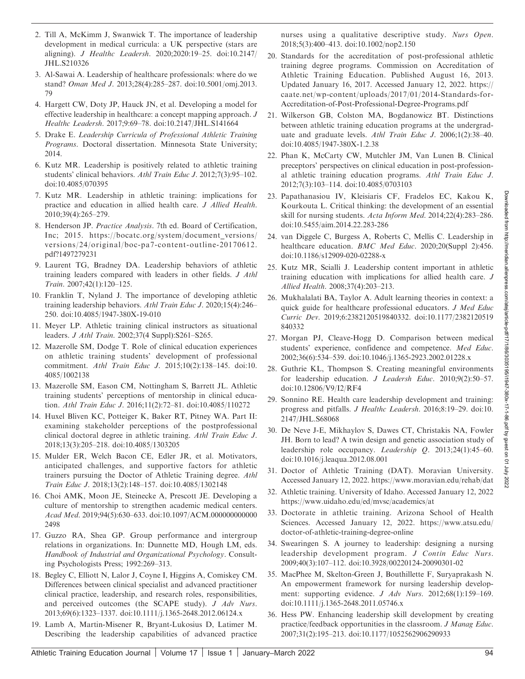- 2. Till A, McKimm J, Swanwick T. The importance of leadership development in medical curricula: a UK perspective (stars are aligning). J Healthc Leadersh. 2020;2020:19–25. doi:10.2147/ JHL.S210326
- 3. Al-Sawai A. Leadership of healthcare professionals: where do we stand? Oman Med J. 2013;28(4):285–287. doi:10.5001/omj.2013. 79
- 4. Hargett CW, Doty JP, Hauck JN, et al. Developing a model for effective leadership in healthcare: a concept mapping approach. J Healthc Leadersh. 2017;9:69–78. doi:10.2147/JHL.S141664
- 5. Drake E. Leadership Curricula of Professional Athletic Training Programs. Doctoral dissertation. Minnesota State University; 2014.
- 6. Kutz MR. Leadership is positively related to athletic training students' clinical behaviors. Athl Train Educ J. 2012;7(3):95–102. doi:10.4085/070395
- 7. Kutz MR. Leadership in athletic training: implications for practice and education in allied health care. J Allied Health. 2010;39(4):265–279.
- 8. Henderson JP. Practice Analysis. 7th ed. Board of Certification, Inc; 2015. https://bocatc.org/system/document\_versions/ versions/24/original/boc-pa7-content-outline-20170612. pdf?1497279231
- 9. Laurent TG, Bradney DA. Leadership behaviors of athletic training leaders compared with leaders in other fields. J Athl Train. 2007;42(1):120–125.
- 10. Franklin T, Nyland J. The importance of developing athletic training leadership behaviors. Athl Train Educ J. 2020;15(4):246– 250. doi:10.4085/1947-380X-19-010
- 11. Meyer LP. Athletic training clinical instructors as situational leaders. J Athl Train. 2002;37(4 Suppl):S261–S265.
- 12. Mazerolle SM, Dodge T. Role of clinical education experiences on athletic training students' development of professional commitment. Athl Train Educ J. 2015;10(2):138–145. doi:10. 4085/1002138
- 13. Mazerolle SM, Eason CM, Nottingham S, Barrett JL. Athletic training students' perceptions of mentorship in clinical education. Athl Train Educ J. 2016;11(2):72–81. doi:10.4085/110272
- 14. Huxel Bliven KC, Potteiger K, Baker RT, Pitney WA. Part II: examining stakeholder perceptions of the postprofessional clinical doctoral degree in athletic training. Athl Train Educ J. 2018;13(3):205–218. doi:10.4085/1303205
- 15. Mulder ER, Welch Bacon CE, Edler JR, et al. Motivators, anticipated challenges, and supportive factors for athletic trainers pursuing the Doctor of Athletic Training degree. Athl Train Educ J. 2018;13(2):148–157. doi:10.4085/1302148
- 16. Choi AMK, Moon JE, Steinecke A, Prescott JE. Developing a culture of mentorship to strengthen academic medical centers. Acad Med. 2019;94(5):630–633. doi:10.1097/ACM.000000000000 2498
- 17. Guzzo RA, Shea GP. Group performance and intergroup relations in organizations. In: Dunnette MD, Hough LM, eds. Handbook of Industrial and Organizational Psychology. Consulting Psychologists Press; 1992:269–313.
- 18. Begley C, Elliott N, Lalor J, Coyne I, Higgins A, Comiskey CM. Differences between clinical specialist and advanced practitioner clinical practice, leadership, and research roles, responsibilities, and perceived outcomes (the SCAPE study). J Adv Nurs. 2013;69(6):1323–1337. doi:10.1111/j.1365-2648.2012.06124.x
- 19. Lamb A, Martin-Misener R, Bryant-Lukosius D, Latimer M. Describing the leadership capabilities of advanced practice

nurses using a qualitative descriptive study. Nurs Open. 2018;5(3):400–413. doi:10.1002/nop2.150

- 20. Standards for the accreditation of post-professional athletic training degree programs. Commission on Accreditation of Athletic Training Education. Published August 16, 2013. Updated January 16, 2017. Accessed January 12, 2022. https:// caate.net/wp-content/uploads/2017/01/2014-Standards-for-Accreditation-of-Post-Professional-Degree-Programs.pdf
- 21. Wilkerson GB, Colston MA, Bogdanowicz BT. Distinctions between athletic training education programs at the undergraduate and graduate levels. Athl Train Educ J. 2006;1(2):38–40. doi:10.4085/1947-380X-1.2.38
- 22. Phan K, McCarty CW, Mutchler JM, Van Lunen B. Clinical preceptors' perspectives on clinical education in post-professional athletic training education programs. Athl Train Educ J. 2012;7(3):103–114. doi:10.4085/0703103
- 23. Papathanasiou IV, Kleisiaris CF, Fradelos EC, Kakou K, Kourkouta L. Critical thinking: the development of an essential skill for nursing students. Acta Inform Med. 2014;22(4):283–286. doi:10.5455/aim.2014.22.283-286
- 24. van Diggele C, Burgess A, Roberts C, Mellis C. Leadership in healthcare education. *BMC Med Educ*. 2020;20(Suppl 2):456. doi:10.1186/s12909-020-02288-x
- 25. Kutz MR, Scialli J. Leadership content important in athletic training education with implications for allied health care. J Allied Health. 2008;37(4):203–213.
- 26. Mukhalalati BA, Taylor A. Adult learning theories in context: a quick guide for healthcare professional educators. J Med Educ Curric Dev. 2019;6:2382120519840332. doi:10.1177/2382120519 840332
- 27. Morgan PJ, Cleave-Hogg D. Comparison between medical students' experience, confidence and competence. Med Educ. 2002;36(6):534–539. doi:10.1046/j.1365-2923.2002.01228.x
- 28. Guthrie KL, Thompson S. Creating meaningful environments for leadership education. J Leadersh Educ. 2010;9(2):50-57. doi:10.12806/V9/I2/RF4
- 29. Sonnino RE. Health care leadership development and training: progress and pitfalls. J Healthc Leadersh. 2016;8:19–29. doi:10. 2147/JHL.S68068
- 30. De Neve J-E, Mikhaylov S, Dawes CT, Christakis NA, Fowler JH. Born to lead? A twin design and genetic association study of leadership role occupancy. Leadership Q. 2013;24(1):45–60. doi:10.1016/j.leaqua.2012.08.001
- 31. Doctor of Athletic Training (DAT). Moravian University. Accessed January 12, 2022. https://www.moravian.edu/rehab/dat
- 32. Athletic training. University of Idaho. Accessed January 12, 2022 https://www.uidaho.edu/ed/mvsc/academics/at
- 33. Doctorate in athletic training. Arizona School of Health Sciences. Accessed January 12, 2022. https://www.atsu.edu/ doctor-of-athletic-training-degree-online
- 34. Swearingen S. A journey to leadership: designing a nursing leadership development program. J Contin Educ Nurs. 2009;40(3):107–112. doi:10.3928/00220124-20090301-02
- 35. MacPhee M, Skelton-Green J, Bouthillette F, Suryaprakash N. An empowerment framework for nursing leadership development: supporting evidence. *J Adv Nurs.* 2012;68(1):159-169. doi:10.1111/j.1365-2648.2011.05746.x
- 36. Hess PW. Enhancing leadership skill development by creating practice/feedback opportunities in the classroom. J Manag Educ. 2007;31(2):195–213. doi:10.1177/1052562906290933